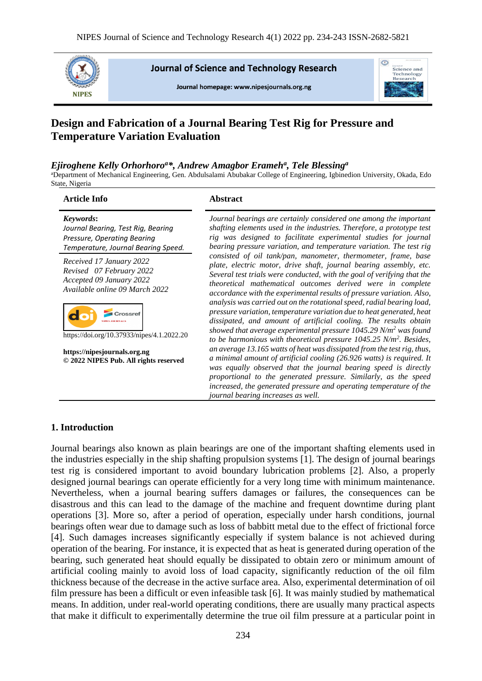

**Journal of Science and Technology Research** 

Journal homepage: www.nipesiournals.org.ng



# **Design and Fabrication of a Journal Bearing Test Rig for Pressure and Temperature Variation Evaluation**

# *Ejiroghene Kelly Orhorhoro<sup>a</sup>\*, Andrew Amagbor Erameh<sup>a</sup> , Tele Blessing<sup>a</sup>*

<sup>a</sup>Department of Mechanical Engineering, Gen. Abdulsalami Abubakar College of Engineering, Igbinedion University, Okada, Edo State, Nigeria

| <b>Article Info</b>                                                                                                   | <b>Abstract</b>                                                                                                                                                                                                                                                                                                                                                                                                                  |
|-----------------------------------------------------------------------------------------------------------------------|----------------------------------------------------------------------------------------------------------------------------------------------------------------------------------------------------------------------------------------------------------------------------------------------------------------------------------------------------------------------------------------------------------------------------------|
| Keywords:<br>Journal Bearing, Test Rig, Bearing<br>Pressure, Operating Bearing<br>Temperature, Journal Bearing Speed. | Journal bearings are certainly considered one among the important<br>shafting elements used in the industries. Therefore, a prototype test<br>rig was designed to facilitate experimental studies for journal<br>bearing pressure variation, and temperature variation. The test rig                                                                                                                                             |
| Received 17 January 2022<br>Revised 07 February 2022<br>Accepted 09 January 2022<br>Available online 09 March 2022    | consisted of oil tank/pan, manometer, thermometer, frame, base<br>plate, electric motor, drive shaft, journal bearing assembly, etc.<br>Several test trials were conducted, with the goal of verifying that the<br>theoretical mathematical outcomes derived were in complete<br>accordance with the experimental results of pressure variation. Also,<br>analysis was carried out on the rotational speed, radial bearing load, |
| https://doi.org/10.37933/nipes/4.1.2022.20                                                                            | pressure variation, temperature variation due to heat generated, heat<br>dissipated, and amount of artificial cooling. The results obtain<br>showed that average experimental pressure 1045.29 N/m <sup>2</sup> was found<br>to be harmonious with theoretical pressure $1045.25$ N/m <sup>2</sup> . Besides,                                                                                                                    |
| https://nipesjournals.org.ng<br>© 2022 NIPES Pub. All rights reserved                                                 | an average 13.165 watts of heat was dissipated from the test rig, thus,<br>a minimal amount of artificial cooling (26.926 watts) is required. It<br>was equally observed that the journal bearing speed is directly<br>proportional to the generated pressure. Similarly, as the speed<br>increased, the generated pressure and operating temperature of the<br>journal bearing increases as well.                               |

# **1. Introduction**

Journal bearings also known as plain bearings are one of the important shafting elements used in the industries especially in the ship shafting propulsion systems [1]. The design of journal bearings test rig is considered important to avoid boundary lubrication problems [2]. Also, a properly designed journal bearings can operate efficiently for a very long time with minimum maintenance. Nevertheless, when a journal bearing suffers damages or failures, the consequences can be disastrous and this can lead to the damage of the machine and frequent downtime during plant operations [3]. More so, after a period of operation, especially under harsh conditions, journal bearings often wear due to damage such as loss of babbitt metal due to the effect of frictional force [4]. Such damages increases significantly especially if system balance is not achieved during operation of the bearing. For instance, it is expected that as heat is generated during operation of the bearing, such generated heat should equally be dissipated to obtain zero or minimum amount of artificial cooling mainly to avoid loss of load capacity, significantly reduction of the oil film thickness because of the decrease in the active surface area. Also, experimental determination of oil film pressure has been a difficult or even infeasible task [6]. It was mainly studied by mathematical means. In addition, under real-world operating conditions, there are usually many practical aspects that make it difficult to experimentally determine the true oil film pressure at a particular point in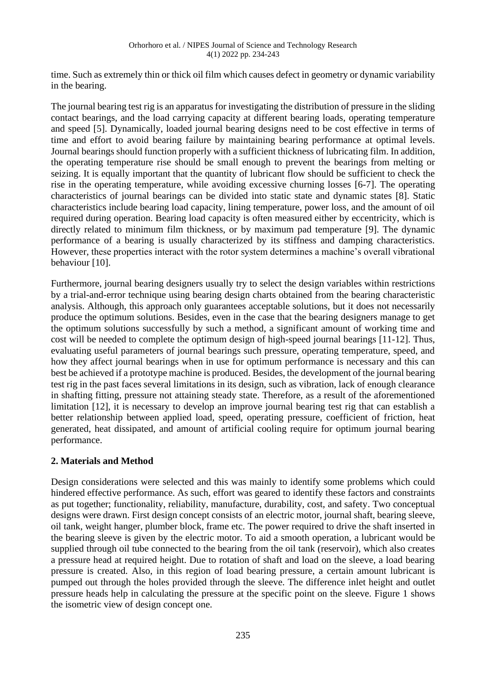time. Such as extremely thin or thick oil film which causes defect in geometry or dynamic variability in the bearing.

The journal bearing test rig is an apparatus for investigating the distribution of pressure in the sliding contact bearings, and the load carrying capacity at different bearing loads, operating temperature and speed [5]. Dynamically, loaded journal bearing designs need to be cost effective in terms of time and effort to avoid bearing failure by maintaining bearing performance at optimal levels. Journal bearings should function properly with a sufficient thickness of lubricating film. In addition, the operating temperature rise should be small enough to prevent the bearings from melting or seizing. It is equally important that the quantity of lubricant flow should be sufficient to check the rise in the operating temperature, while avoiding excessive churning losses [6-7]. The operating characteristics of journal bearings can be divided into static state and dynamic states [8]. Static characteristics include bearing load capacity, lining temperature, power loss, and the amount of oil required during operation. Bearing load capacity is often measured either by eccentricity, which is directly related to minimum film thickness, or by maximum pad temperature [9]. The dynamic performance of a bearing is usually characterized by its stiffness and damping characteristics. However, these properties interact with the rotor system determines a machine's overall vibrational behaviour [10].

Furthermore, journal bearing designers usually try to select the design variables within restrictions by a trial-and-error technique using bearing design charts obtained from the bearing characteristic analysis. Although, this approach only guarantees acceptable solutions, but it does not necessarily produce the optimum solutions. Besides, even in the case that the bearing designers manage to get the optimum solutions successfully by such a method, a significant amount of working time and cost will be needed to complete the optimum design of high-speed journal bearings [11-12]. Thus, evaluating useful parameters of journal bearings such pressure, operating temperature, speed, and how they affect journal bearings when in use for optimum performance is necessary and this can best be achieved if a prototype machine is produced. Besides, the development of the journal bearing test rig in the past faces several limitations in its design, such as vibration, lack of enough clearance in shafting fitting, pressure not attaining steady state. Therefore, as a result of the aforementioned limitation [12], it is necessary to develop an improve journal bearing test rig that can establish a better relationship between applied load, speed, operating pressure, coefficient of friction, heat generated, heat dissipated, and amount of artificial cooling require for optimum journal bearing performance.

# **2. Materials and Method**

Design considerations were selected and this was mainly to identify some problems which could hindered effective performance. As such, effort was geared to identify these factors and constraints as put together; functionality, reliability, manufacture, durability, cost, and safety. Two conceptual designs were drawn. First design concept consists of an electric motor, journal shaft, bearing sleeve, oil tank, weight hanger, plumber block, frame etc. The power required to drive the shaft inserted in the bearing sleeve is given by the electric motor. To aid a smooth operation, a lubricant would be supplied through oil tube connected to the bearing from the oil tank (reservoir), which also creates a pressure head at required height. Due to rotation of shaft and load on the sleeve, a load bearing pressure is created. Also, in this region of load bearing pressure, a certain amount lubricant is pumped out through the holes provided through the sleeve. The difference inlet height and outlet pressure heads help in calculating the pressure at the specific point on the sleeve. Figure 1 shows the isometric view of design concept one.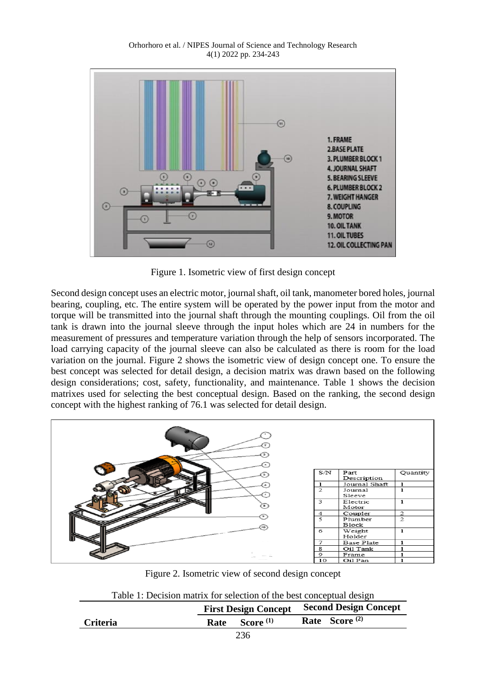

Figure 1. Isometric view of first design concept

Second design concept uses an electric motor, journal shaft, oil tank, manometer bored holes, journal bearing, coupling, etc. The entire system will be operated by the power input from the motor and torque will be transmitted into the journal shaft through the mounting couplings. Oil from the oil tank is drawn into the journal sleeve through the input holes which are 24 in numbers for the measurement of pressures and temperature variation through the help of sensors incorporated. The load carrying capacity of the journal sleeve can also be calculated as there is room for the load variation on the journal. Figure 2 shows the isometric view of design concept one. To ensure the best concept was selected for detail design, a decision matrix was drawn based on the following design considerations; cost, safety, functionality, and maintenance. Table 1 shows the decision matrixes used for selecting the best conceptual design. Based on the ranking, the second design concept with the highest ranking of 76.1 was selected for detail design.



Figure 2. Isometric view of second design concept

| Table 1: Decision matrix for selection of the best conceptual design |  |
|----------------------------------------------------------------------|--|
|----------------------------------------------------------------------|--|

|                 |                        | <b>First Design Concept</b> Second Design Concept |  |
|-----------------|------------------------|---------------------------------------------------|--|
| <b>Criteria</b> | Score $^{(1)}$<br>Rate | Rate Score <sup>(2)</sup>                         |  |
|                 | $\cap$                 |                                                   |  |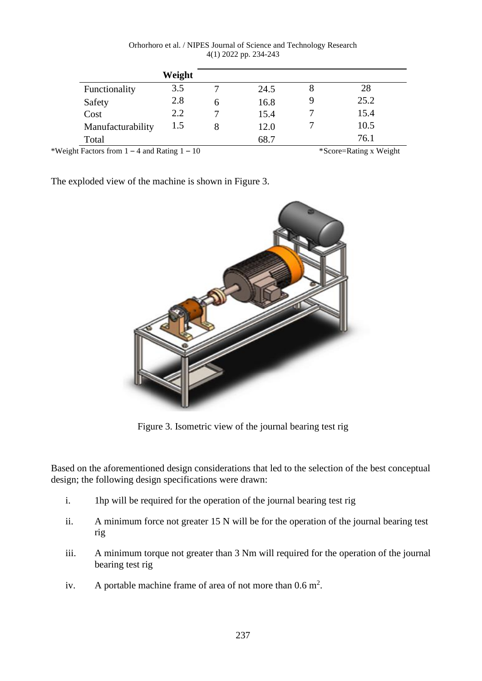| Orhorhoro et al. / NIPES Journal of Science and Technology Research |  |
|---------------------------------------------------------------------|--|
| $4(1)$ 2022 pp. 234-243                                             |  |

|                   | Weight |   |      |      |
|-------------------|--------|---|------|------|
| Functionality     | 3.5    |   | 24.5 | 28   |
| Safety            | 2.8    | n | 16.8 | 25.2 |
| Cost              | 2.2    |   | 15.4 | 15.4 |
| Manufacturability | 1.5    | 8 | 12.0 | 10.5 |
| Total             |        |   | 68.7 | 76.1 |

\*Weight Factors from  $1 - 4$  and Rating  $1 - 10$  \*Score=Rating x Weight

The exploded view of the machine is shown in Figure 3.



Figure 3. Isometric view of the journal bearing test rig

Based on the aforementioned design considerations that led to the selection of the best conceptual design; the following design specifications were drawn:

- i. 1hp will be required for the operation of the journal bearing test rig
- ii. A minimum force not greater 15 N will be for the operation of the journal bearing test rig
- iii. A minimum torque not greater than 3 Nm will required for the operation of the journal bearing test rig
- iv. A portable machine frame of area of not more than  $0.6 \text{ m}^2$ .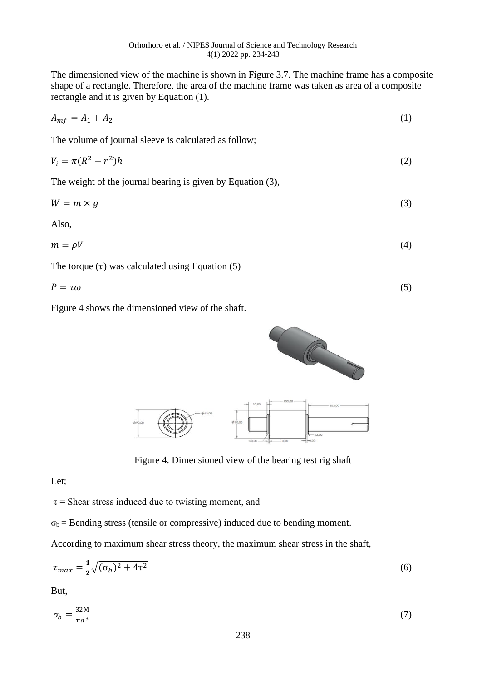The dimensioned view of the machine is shown in Figure 3.7. The machine frame has a composite shape of a rectangle. Therefore, the area of the machine frame was taken as area of a composite rectangle and it is given by Equation (1).

$$
A_{mf} = A_1 + A_2 \tag{1}
$$

The volume of journal sleeve is calculated as follow;

$$
V_i = \pi (R^2 - r^2)h\tag{2}
$$

The weight of the journal bearing is given by Equation (3),

$$
W = m \times g \tag{3}
$$

Also,

$$
m = \rho V \tag{4}
$$

The torque  $(\tau)$  was calculated using Equation (5)

$$
P = \tau \omega \tag{5}
$$

Figure 4 shows the dimensioned view of the shaft.



Figure 4. Dimensioned view of the bearing test rig shaft

Let;

 $\tau$  = Shear stress induced due to twisting moment, and

 $\sigma_b$  = Bending stress (tensile or compressive) induced due to bending moment.

According to maximum shear stress theory, the maximum shear stress in the shaft,

$$
\tau_{max} = \frac{1}{2}\sqrt{(\sigma_b)^2 + 4\tau^2} \tag{6}
$$

But,

$$
\sigma_b = \frac{32M}{\pi d^3} \tag{7}
$$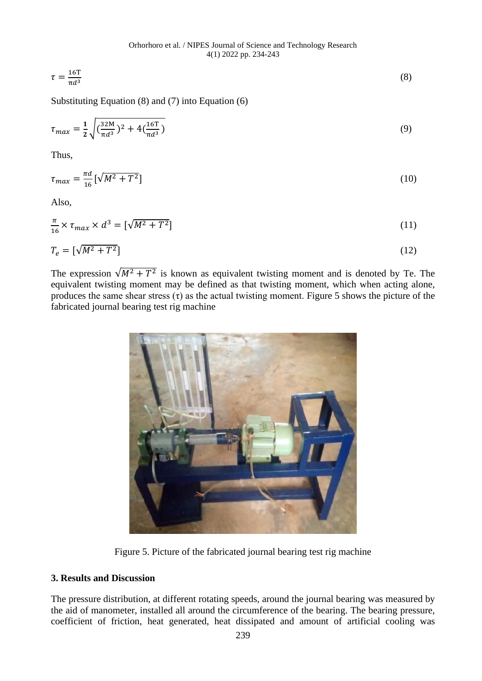$$
\tau = \frac{16T}{\pi d^3} \tag{8}
$$

Substituting Equation (8) and (7) into Equation (6)

$$
\tau_{max} = \frac{1}{2} \sqrt{\left(\frac{32M}{\pi d^3}\right)^2 + 4\left(\frac{16T}{\pi d^3}\right)}\tag{9}
$$

Thus,

$$
\tau_{max} = \frac{\pi d}{16} \left[ \sqrt{M^2 + T^2} \right] \tag{10}
$$

Also,

$$
\frac{\pi}{16} \times \tau_{max} \times d^3 = \left[\sqrt{M^2 + T^2}\right] \tag{11}
$$

$$
T_e = \left[\sqrt{M^2 + T^2}\right] \tag{12}
$$

The expression  $\sqrt{M^2 + T^2}$  is known as equivalent twisting moment and is denoted by Te. The equivalent twisting moment may be defined as that twisting moment, which when acting alone, produces the same shear stress  $(\tau)$  as the actual twisting moment. Figure 5 shows the picture of the fabricated journal bearing test rig machine



Figure 5. Picture of the fabricated journal bearing test rig machine

# **3. Results and Discussion**

The pressure distribution, at different rotating speeds, around the journal bearing was measured by the aid of manometer, installed all around the circumference of the bearing. The bearing pressure, coefficient of friction, heat generated, heat dissipated and amount of artificial cooling was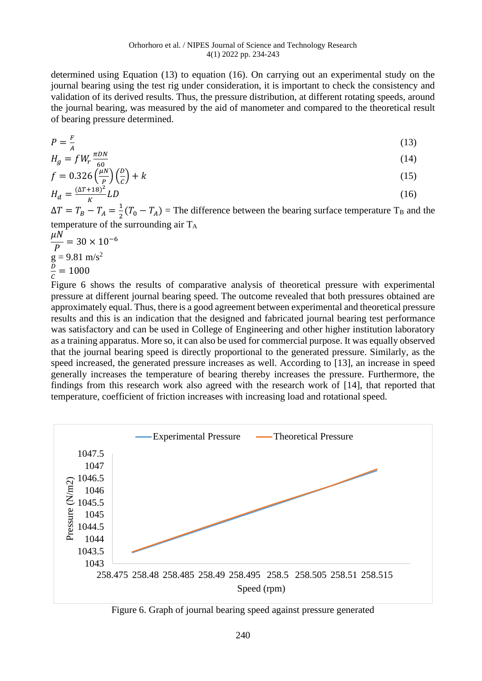determined using Equation (13) to equation (16). On carrying out an experimental study on the journal bearing using the test rig under consideration, it is important to check the consistency and validation of its derived results. Thus, the pressure distribution, at different rotating speeds, around the journal bearing, was measured by the aid of manometer and compared to the theoretical result of bearing pressure determined.

$$
P = \frac{F}{A} \tag{13}
$$

$$
H_g = f W_r \frac{\pi D N}{60} \tag{14}
$$

$$
f = 0.326 \left(\frac{\mu N}{\rho}\right) \left(\frac{D}{C}\right) + k \tag{15}
$$

$$
H_d = \frac{(\Delta T + 18)^2}{K} LD \tag{16}
$$

 $\Delta T = T_B - T_A = \frac{1}{2}$  $\frac{1}{2}(T_0 - T_A)$  = The difference between the bearing surface temperature T<sub>B</sub> and the temperature of the surrounding air T<sup>A</sup>

$$
\frac{\mu N}{P} = 30 \times 10^{-6}
$$
  
g = 9.81 m/s<sup>2</sup>  
 $\frac{D}{C} = 1000$ 

Figure 6 shows the results of comparative analysis of theoretical pressure with experimental pressure at different journal bearing speed. The outcome revealed that both pressures obtained are approximately equal. Thus, there is a good agreement between experimental and theoretical pressure results and this is an indication that the designed and fabricated journal bearing test performance was satisfactory and can be used in College of Engineering and other higher institution laboratory as a training apparatus. More so, it can also be used for commercial purpose. It was equally observed that the journal bearing speed is directly proportional to the generated pressure. Similarly, as the speed increased, the generated pressure increases as well. According to [13], an increase in speed generally increases the temperature of bearing thereby increases the pressure. Furthermore, the findings from this research work also agreed with the research work of [14], that reported that temperature, coefficient of friction increases with increasing load and rotational speed.



Figure 6. Graph of journal bearing speed against pressure generated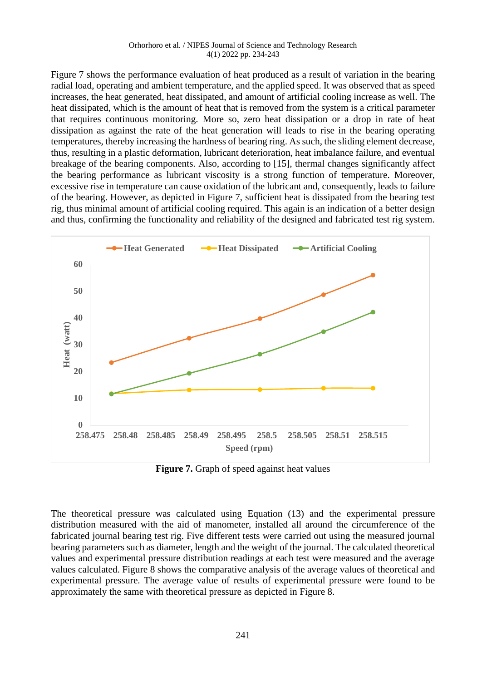Figure 7 shows the performance evaluation of heat produced as a result of variation in the bearing radial load, operating and ambient temperature, and the applied speed. It was observed that as speed increases, the heat generated, heat dissipated, and amount of artificial cooling increase as well. The heat dissipated, which is the amount of heat that is removed from the system is a critical parameter that requires continuous monitoring. More so, zero heat dissipation or a drop in rate of heat dissipation as against the rate of the heat generation will leads to rise in the bearing operating temperatures, thereby increasing the hardness of bearing ring. As such, the sliding element decrease, thus, resulting in a plastic deformation, lubricant deterioration, heat imbalance failure, and eventual breakage of the bearing components. Also, according to [15], thermal changes significantly affect the bearing performance as lubricant viscosity is a strong function of temperature. Moreover, excessive rise in temperature can cause oxidation of the lubricant and, consequently, leads to failure of the bearing. However, as depicted in Figure 7, sufficient heat is dissipated from the bearing test rig, thus minimal amount of artificial cooling required. This again is an indication of a better design and thus, confirming the functionality and reliability of the designed and fabricated test rig system.



Figure 7. Graph of speed against heat values

The theoretical pressure was calculated using Equation (13) and the experimental pressure distribution measured with the aid of manometer, installed all around the circumference of the fabricated journal bearing test rig. Five different tests were carried out using the measured journal bearing parameters such as diameter, length and the weight of the journal. The calculated theoretical values and experimental pressure distribution readings at each test were measured and the average values calculated. Figure 8 shows the comparative analysis of the average values of theoretical and experimental pressure. The average value of results of experimental pressure were found to be approximately the same with theoretical pressure as depicted in Figure 8.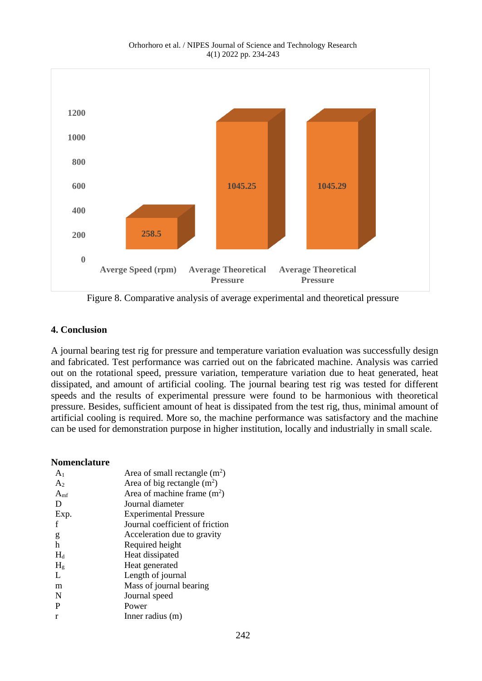

Figure 8. Comparative analysis of average experimental and theoretical pressure

# **4. Conclusion**

A journal bearing test rig for pressure and temperature variation evaluation was successfully design and fabricated. Test performance was carried out on the fabricated machine. Analysis was carried out on the rotational speed, pressure variation, temperature variation due to heat generated, heat dissipated, and amount of artificial cooling. The journal bearing test rig was tested for different speeds and the results of experimental pressure were found to be harmonious with theoretical pressure. Besides, sufficient amount of heat is dissipated from the test rig, thus, minimal amount of artificial cooling is required. More so, the machine performance was satisfactory and the machine can be used for demonstration purpose in higher institution, locally and industrially in small scale.

# **Nomenclature**

| A <sub>1</sub> | Area of small rectangle $(m^2)$ |
|----------------|---------------------------------|
| A <sub>2</sub> | Area of big rectangle $(m^2)$   |
| $A_{\rm mf}$   | Area of machine frame $(m2)$    |
| Ð              | Journal diameter                |
| Exp.           | <b>Experimental Pressure</b>    |
|                | Journal coefficient of friction |
| g              | Acceleration due to gravity     |
| h              | Required height                 |
| $H_d$          | Heat dissipated                 |
| H <sub>g</sub> | Heat generated                  |
| L              | Length of journal               |
| m              | Mass of journal bearing         |
| N              | Journal speed                   |
| P              | Power                           |
| r              | Inner radius (m)                |
|                |                                 |